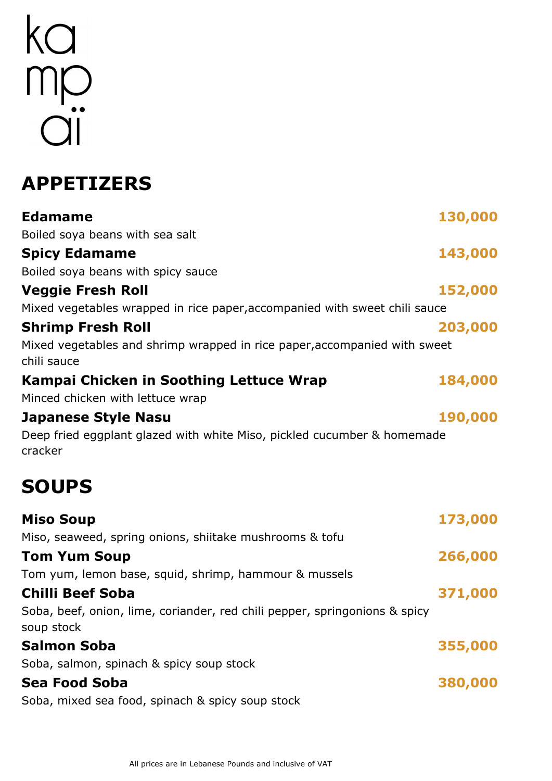# ka<br>mp

### **APPETIZERS**

| <b>Edamame</b>                                                                           | 130,000 |
|------------------------------------------------------------------------------------------|---------|
| Boiled soya beans with sea salt                                                          |         |
| <b>Spicy Edamame</b>                                                                     | 143,000 |
| Boiled soya beans with spicy sauce                                                       |         |
| <b>Veggie Fresh Roll</b>                                                                 | 152,000 |
| Mixed vegetables wrapped in rice paper, accompanied with sweet chili sauce               |         |
| <b>Shrimp Fresh Roll</b>                                                                 | 203,000 |
| Mixed vegetables and shrimp wrapped in rice paper, accompanied with sweet<br>chili sauce |         |
| Kampai Chicken in Soothing Lettuce Wrap                                                  | 184,000 |
| Minced chicken with lettuce wrap                                                         |         |
| <b>Japanese Style Nasu</b>                                                               | 190,000 |
| Deep fried eggplant glazed with white Miso, pickled cucumber & homemade<br>cracker       |         |
| <b>SOUPS</b>                                                                             |         |
| <b>Miso Soup</b>                                                                         | 173,000 |
| Miso, seaweed, spring onions, shiitake mushrooms & tofu                                  |         |
| <b>Tom Yum Soup</b>                                                                      | 266,000 |
| Tom yum, lemon base, squid, shrimp, hammour & mussels                                    |         |
| <b>Chilli Beef Soba</b>                                                                  | 371,000 |
| Soba, beef, onion, lime, coriander, red chili pepper, springonions & spicy<br>soup stock |         |
| Salmon Soba                                                                              | 355,000 |
| Soba, salmon, spinach & spicy soup stock                                                 |         |
| <b>Sea Food Soba</b>                                                                     | 380,000 |
|                                                                                          |         |

Soba, mixed sea food, spinach & spicy soup stock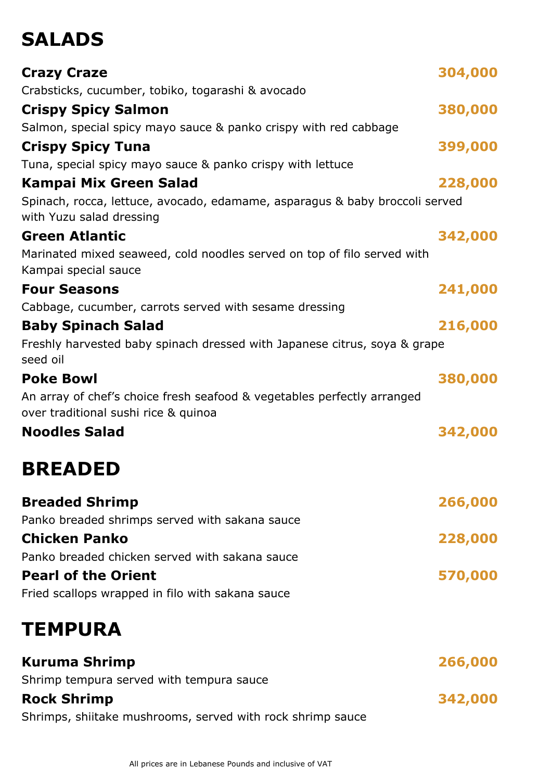# **SALADS**

| <b>Crazy Craze</b>                                                                                              | 304,000 |
|-----------------------------------------------------------------------------------------------------------------|---------|
| Crabsticks, cucumber, tobiko, togarashi & avocado                                                               |         |
| <b>Crispy Spicy Salmon</b>                                                                                      | 380,000 |
| Salmon, special spicy mayo sauce & panko crispy with red cabbage                                                |         |
| <b>Crispy Spicy Tuna</b>                                                                                        | 399,000 |
| Tuna, special spicy mayo sauce & panko crispy with lettuce                                                      |         |
| Kampai Mix Green Salad                                                                                          | 228,000 |
| Spinach, rocca, lettuce, avocado, edamame, asparagus & baby broccoli served<br>with Yuzu salad dressing         |         |
| <b>Green Atlantic</b>                                                                                           | 342,000 |
| Marinated mixed seaweed, cold noodles served on top of filo served with<br>Kampai special sauce                 |         |
| <b>Four Seasons</b>                                                                                             | 241,000 |
| Cabbage, cucumber, carrots served with sesame dressing                                                          |         |
| <b>Baby Spinach Salad</b>                                                                                       | 216,000 |
| Freshly harvested baby spinach dressed with Japanese citrus, soya & grape<br>seed oil                           |         |
| <b>Poke Bowl</b>                                                                                                | 380,000 |
| An array of chef's choice fresh seafood & vegetables perfectly arranged<br>over traditional sushi rice & quinoa |         |
| <b>Noodles Salad</b>                                                                                            | 342,000 |
| <b>BREADED</b>                                                                                                  |         |
| <b>Breaded Shrimp</b>                                                                                           | 266,000 |
| Panko breaded shrimps served with sakana sauce                                                                  |         |
| <b>Chicken Panko</b>                                                                                            | 228,000 |
| Panko breaded chicken served with sakana sauce                                                                  |         |
| <b>Pearl of the Orient</b>                                                                                      | 570,000 |
| Fried scallops wrapped in filo with sakana sauce                                                                |         |
| <b>TEMPURA</b>                                                                                                  |         |
| <b>Kuruma Shrimp</b>                                                                                            | 266,000 |
| Shrimp tempura served with tempura sauce                                                                        |         |
| <b>Rock Shrimp</b>                                                                                              | 342,000 |
| Shrimps, shiitake mushrooms, served with rock shrimp sauce                                                      |         |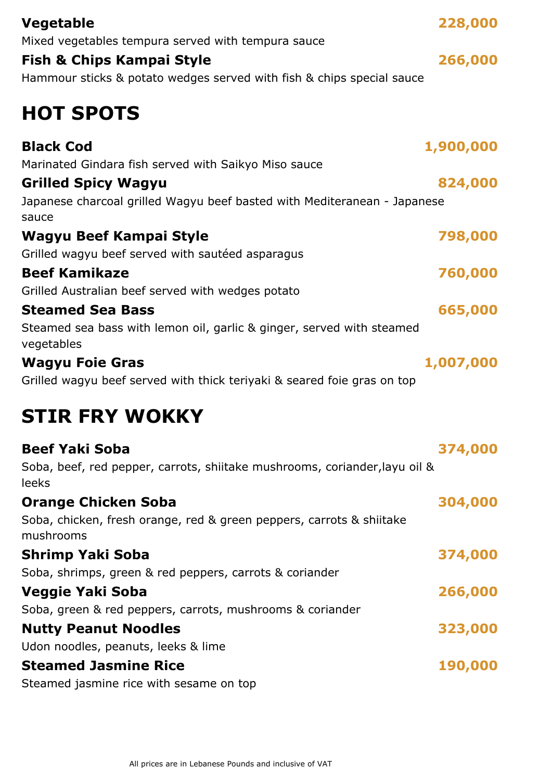| <b>Vegetable</b>                                                                    | 228,000   |
|-------------------------------------------------------------------------------------|-----------|
| Mixed vegetables tempura served with tempura sauce                                  |           |
| Fish & Chips Kampai Style                                                           | 266,000   |
| Hammour sticks & potato wedges served with fish & chips special sauce               |           |
|                                                                                     |           |
| <b>HOT SPOTS</b>                                                                    |           |
| <b>Black Cod</b>                                                                    | 1,900,000 |
| Marinated Gindara fish served with Saikyo Miso sauce                                |           |
| <b>Grilled Spicy Wagyu</b>                                                          | 824,000   |
| Japanese charcoal grilled Wagyu beef basted with Mediteranean - Japanese<br>sauce   |           |
| Wagyu Beef Kampai Style                                                             | 798,000   |
| Grilled wagyu beef served with sautéed asparagus                                    |           |
| <b>Beef Kamikaze</b>                                                                | 760,000   |
| Grilled Australian beef served with wedges potato                                   |           |
| <b>Steamed Sea Bass</b>                                                             | 665,000   |
| Steamed sea bass with lemon oil, garlic & ginger, served with steamed<br>vegetables |           |
| <b>Wagyu Foie Gras</b>                                                              | 1,007,000 |
| Grilled wagyu beef served with thick teriyaki & seared foie gras on top             |           |
| <b>STIR FRY WOKKY</b>                                                               |           |
| <b>Beef Yaki Soba</b>                                                               | 374,000   |
| Soba, beef, red pepper, carrots, shiitake mushrooms, coriander, layu oil &          |           |
| leeks                                                                               |           |
| <b>Orange Chicken Soba</b>                                                          | 304,000   |
| Soba, chicken, fresh orange, red & green peppers, carrots & shiitake<br>mushrooms   |           |
| Shrimp Yaki Soba                                                                    | 374,000   |
| Soba, shrimps, green & red peppers, carrots & coriander                             |           |
| Veggie Yaki Soba                                                                    | 266,000   |

**Nutty Peanut Noodles** Udon noodles, peanuts, leeks & lime

#### **Steamed Jasmine Rice**

Steamed jasmine rice with sesame on top

Soba, green & red peppers, carrots, mushrooms & coriander

 **323,000**

 **190,000**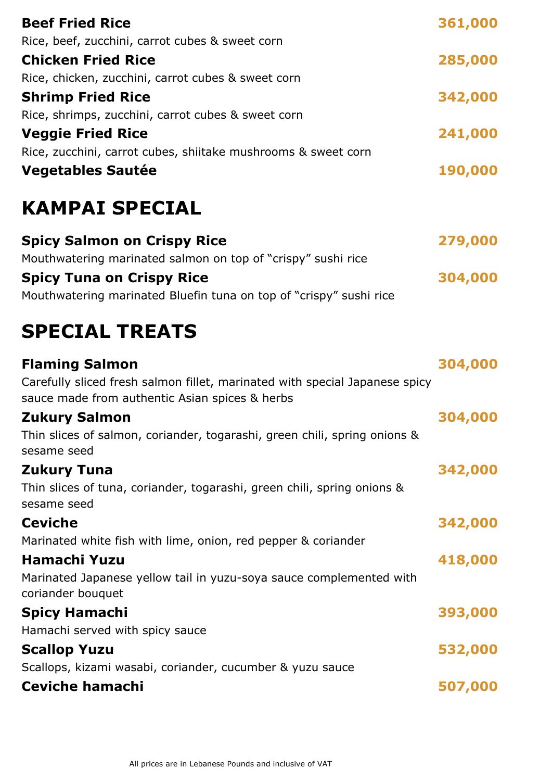| <b>Beef Fried Rice</b>                                        | 361,000 |
|---------------------------------------------------------------|---------|
| Rice, beef, zucchini, carrot cubes & sweet corn               |         |
| <b>Chicken Fried Rice</b>                                     | 285,000 |
| Rice, chicken, zucchini, carrot cubes & sweet corn            |         |
| <b>Shrimp Fried Rice</b>                                      | 342,000 |
| Rice, shrimps, zucchini, carrot cubes & sweet corn            |         |
| <b>Veggie Fried Rice</b>                                      | 241,000 |
| Rice, zucchini, carrot cubes, shiitake mushrooms & sweet corn |         |
| <b>Vegetables Sautée</b>                                      | 190,000 |

### **KAMPAI SPECIAL**

| <b>Spicy Salmon on Crispy Rice</b>                                 | 279,000 |
|--------------------------------------------------------------------|---------|
| Mouthwatering marinated salmon on top of "crispy" sushi rice       |         |
| <b>Spicy Tuna on Crispy Rice</b>                                   | 304,000 |
| Mouthwatering marinated Bluefin tuna on top of "crispy" sushi rice |         |

### **SPECIAL TREATS**

| 304,000 |
|---------|
|         |
|         |
| 304,000 |
|         |
| 342,000 |
|         |
|         |
| 342,000 |
|         |
| 418,000 |
|         |
| 393,000 |
|         |
| 532,000 |
|         |
| 507,000 |
|         |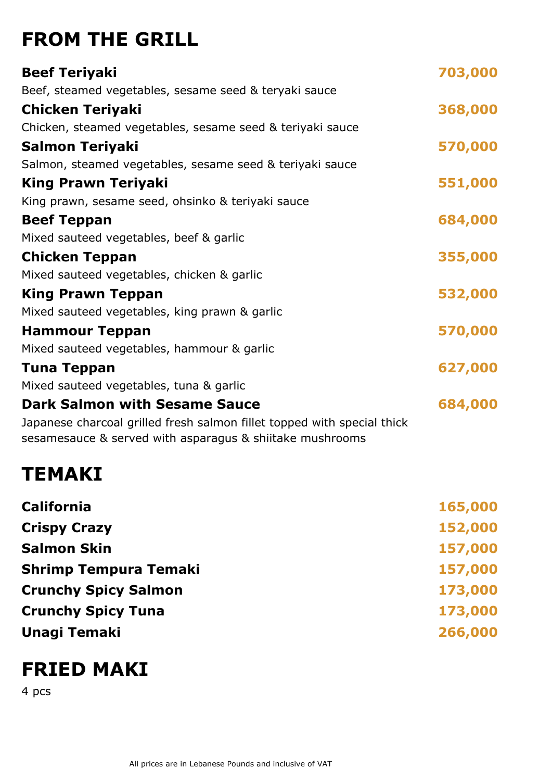## **FROM THE GRILL**

| <b>Beef Teriyaki</b>                                                                                                                | 703,000 |
|-------------------------------------------------------------------------------------------------------------------------------------|---------|
| Beef, steamed vegetables, sesame seed & teryaki sauce                                                                               |         |
| <b>Chicken Teriyaki</b>                                                                                                             | 368,000 |
| Chicken, steamed vegetables, sesame seed & teriyaki sauce                                                                           |         |
| <b>Salmon Teriyaki</b>                                                                                                              | 570,000 |
| Salmon, steamed vegetables, sesame seed & teriyaki sauce                                                                            |         |
| <b>King Prawn Teriyaki</b>                                                                                                          | 551,000 |
| King prawn, sesame seed, ohsinko & teriyaki sauce                                                                                   |         |
| <b>Beef Teppan</b>                                                                                                                  | 684,000 |
| Mixed sauteed vegetables, beef & garlic                                                                                             |         |
| <b>Chicken Teppan</b>                                                                                                               | 355,000 |
| Mixed sauteed vegetables, chicken & garlic                                                                                          |         |
| <b>King Prawn Teppan</b>                                                                                                            | 532,000 |
| Mixed sauteed vegetables, king prawn & garlic                                                                                       |         |
| <b>Hammour Teppan</b>                                                                                                               | 570,000 |
| Mixed sauteed vegetables, hammour & garlic                                                                                          |         |
| Tuna Teppan                                                                                                                         | 627,000 |
| Mixed sauteed vegetables, tuna & garlic                                                                                             |         |
| <b>Dark Salmon with Sesame Sauce</b>                                                                                                | 684,000 |
| Japanese charcoal grilled fresh salmon fillet topped with special thick<br>sesamesauce & served with asparagus & shiitake mushrooms |         |

### **TEMAKI**

| <b>California</b>            | 165,000 |
|------------------------------|---------|
| <b>Crispy Crazy</b>          | 152,000 |
| <b>Salmon Skin</b>           | 157,000 |
| <b>Shrimp Tempura Temaki</b> | 157,000 |
| <b>Crunchy Spicy Salmon</b>  | 173,000 |
| <b>Crunchy Spicy Tuna</b>    | 173,000 |
| <b>Unagi Temaki</b>          | 266,000 |
|                              |         |

#### **FRIED MAKI**

4 pcs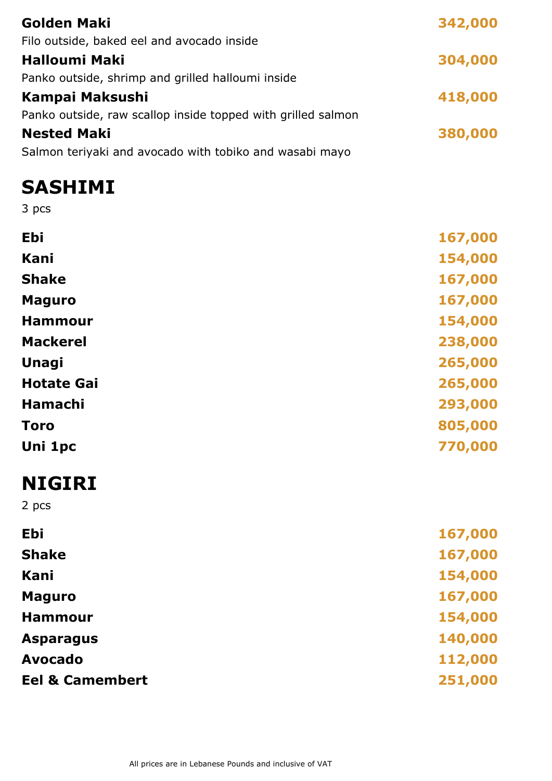| <b>Golden Maki</b>                                           | 342,000 |
|--------------------------------------------------------------|---------|
| Filo outside, baked eel and avocado inside                   |         |
| <b>Halloumi Maki</b>                                         | 304,000 |
| Panko outside, shrimp and grilled halloumi inside            |         |
| <b>Kampai Maksushi</b>                                       | 418,000 |
| Panko outside, raw scallop inside topped with grilled salmon |         |
| <b>Nested Maki</b>                                           | 380,000 |
| Salmon teriyaki and avocado with tobiko and wasabi mayo      |         |
|                                                              |         |

## **SASHIMI**

3 pcs

| <b>Ebi</b>                 | 167,000 |
|----------------------------|---------|
| Kani                       | 154,000 |
| <b>Shake</b>               | 167,000 |
| <b>Maguro</b>              | 167,000 |
| <b>Hammour</b>             | 154,000 |
| <b>Mackerel</b>            | 238,000 |
| <b>Unagi</b>               | 265,000 |
| <b>Hotate Gai</b>          | 265,000 |
| <b>Hamachi</b>             | 293,000 |
| <b>Toro</b>                | 805,000 |
| Uni 1pc                    | 770,000 |
| <b>NIGIRI</b>              |         |
| 2 pcs                      |         |
| <b>Ebi</b>                 | 167,000 |
| <b>Shake</b>               | 167,000 |
| Kani                       | 154,000 |
| <b>Maguro</b>              | 167,000 |
| <b>Hammour</b>             | 154,000 |
| <b>Asparagus</b>           | 140,000 |
| <b>Avocado</b>             | 112,000 |
| <b>Eel &amp; Camembert</b> | 251,000 |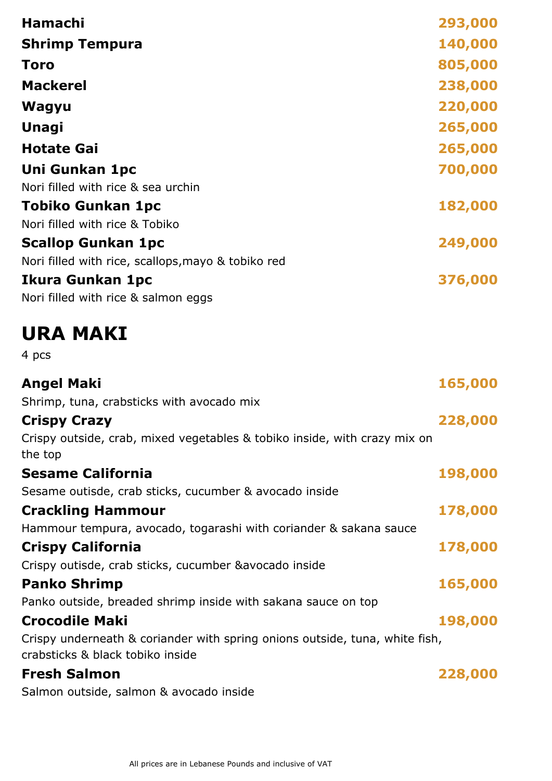| <b>Hamachi</b>                                     | 293,000 |
|----------------------------------------------------|---------|
| <b>Shrimp Tempura</b>                              | 140,000 |
| <b>Toro</b>                                        | 805,000 |
| <b>Mackerel</b>                                    | 238,000 |
| Wagyu                                              | 220,000 |
| <b>Unagi</b>                                       | 265,000 |
| <b>Hotate Gai</b>                                  | 265,000 |
| Uni Gunkan 1pc                                     | 700,000 |
| Nori filled with rice & sea urchin                 |         |
| <b>Tobiko Gunkan 1pc</b>                           | 182,000 |
| Nori filled with rice & Tobiko                     |         |
| <b>Scallop Gunkan 1pc</b>                          | 249,000 |
| Nori filled with rice, scallops, mayo & tobiko red |         |
| Ikura Gunkan 1pc                                   | 376,000 |
| Nori filled with rice & salmon eggs                |         |

#### **URA MAKI**

4 pcs

| <b>Angel Maki</b>                                                                                               | 165,000 |
|-----------------------------------------------------------------------------------------------------------------|---------|
| Shrimp, tuna, crabsticks with avocado mix                                                                       |         |
| <b>Crispy Crazy</b>                                                                                             | 228,000 |
| Crispy outside, crab, mixed vegetables & tobiko inside, with crazy mix on<br>the top                            |         |
| <b>Sesame California</b>                                                                                        | 198,000 |
| Sesame outisde, crab sticks, cucumber & avocado inside                                                          |         |
| <b>Crackling Hammour</b>                                                                                        | 178,000 |
| Hammour tempura, avocado, togarashi with coriander & sakana sauce                                               |         |
| <b>Crispy California</b>                                                                                        | 178,000 |
| Crispy outisde, crab sticks, cucumber & avocado inside                                                          |         |
| <b>Panko Shrimp</b>                                                                                             | 165,000 |
| Panko outside, breaded shrimp inside with sakana sauce on top                                                   |         |
| <b>Crocodile Maki</b>                                                                                           | 198,000 |
| Crispy underneath & coriander with spring onions outside, tuna, white fish,<br>crabsticks & black tobiko inside |         |
| <b>Fresh Salmon</b>                                                                                             | 228,000 |
| Salmon outside, salmon & avocado inside                                                                         |         |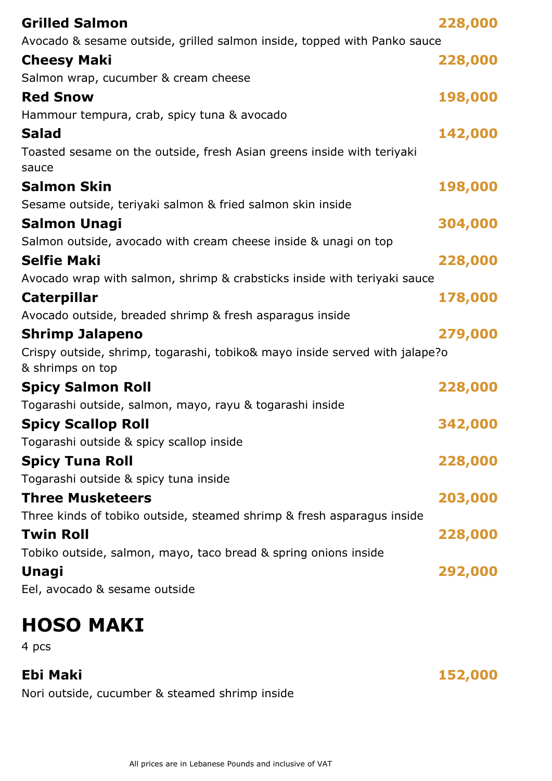| <b>Grilled Salmon</b>                                                                           | 228,000 |
|-------------------------------------------------------------------------------------------------|---------|
| Avocado & sesame outside, grilled salmon inside, topped with Panko sauce                        |         |
| <b>Cheesy Maki</b>                                                                              | 228,000 |
| Salmon wrap, cucumber & cream cheese                                                            |         |
| <b>Red Snow</b>                                                                                 | 198,000 |
| Hammour tempura, crab, spicy tuna & avocado                                                     |         |
| <b>Salad</b>                                                                                    | 142,000 |
| Toasted sesame on the outside, fresh Asian greens inside with teriyaki<br>sauce                 |         |
| <b>Salmon Skin</b>                                                                              | 198,000 |
| Sesame outside, teriyaki salmon & fried salmon skin inside                                      |         |
| <b>Salmon Unagi</b>                                                                             | 304,000 |
| Salmon outside, avocado with cream cheese inside & unagi on top                                 |         |
| <b>Selfie Maki</b>                                                                              | 228,000 |
| Avocado wrap with salmon, shrimp & crabsticks inside with teriyaki sauce                        |         |
| <b>Caterpillar</b>                                                                              | 178,000 |
| Avocado outside, breaded shrimp & fresh asparagus inside                                        |         |
| <b>Shrimp Jalapeno</b>                                                                          | 279,000 |
| Crispy outside, shrimp, togarashi, tobiko& mayo inside served with jalape?o<br>& shrimps on top |         |
| <b>Spicy Salmon Roll</b>                                                                        | 228,000 |
| Togarashi outside, salmon, mayo, rayu & togarashi inside                                        |         |
| <b>Spicy Scallop Roll</b>                                                                       | 342,000 |
| Togarashi outside & spicy scallop inside                                                        |         |
| <b>Spicy Tuna Roll</b>                                                                          | 228,000 |
| Togarashi outside & spicy tuna inside                                                           |         |
| <b>Three Musketeers</b>                                                                         | 203,000 |
| Three kinds of tobiko outside, steamed shrimp & fresh asparagus inside                          |         |
| <b>Twin Roll</b>                                                                                | 228,000 |
| Tobiko outside, salmon, mayo, taco bread & spring onions inside                                 |         |
| <b>Unagi</b>                                                                                    | 292,000 |
| Eel, avocado & sesame outside                                                                   |         |

# **HOSO MAKI**

4 pcs

#### **Ebi Maki**

Nori outside, cucumber & steamed shrimp inside

 **152,000**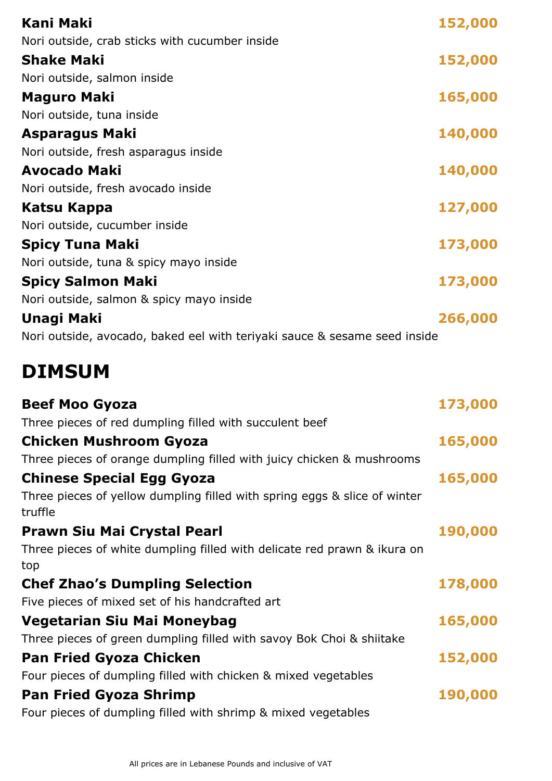| <b>Kani Maki</b>                                                          | 152,000 |
|---------------------------------------------------------------------------|---------|
| Nori outside, crab sticks with cucumber inside                            |         |
| <b>Shake Maki</b>                                                         | 152,000 |
| Nori outside, salmon inside                                               |         |
| <b>Maguro Maki</b>                                                        | 165,000 |
| Nori outside, tuna inside                                                 |         |
| Asparagus Maki                                                            | 140,000 |
| Nori outside, fresh asparagus inside                                      |         |
| <b>Avocado Maki</b>                                                       | 140,000 |
| Nori outside, fresh avocado inside                                        |         |
| Katsu Kappa                                                               | 127,000 |
| Nori outside, cucumber inside                                             |         |
| <b>Spicy Tuna Maki</b>                                                    | 173,000 |
| Nori outside, tuna & spicy mayo inside                                    |         |
| <b>Spicy Salmon Maki</b>                                                  | 173,000 |
| Nori outside, salmon & spicy mayo inside                                  |         |
| Unagi Maki                                                                | 266,000 |
| Nori outside, avocado, baked eel with teriyaki sauce & sesame seed inside |         |

## **DIMSUM**

| <b>Beef Moo Gyoza</b>                                                                | 173,000 |
|--------------------------------------------------------------------------------------|---------|
| Three pieces of red dumpling filled with succulent beef                              |         |
| <b>Chicken Mushroom Gyoza</b>                                                        | 165,000 |
| Three pieces of orange dumpling filled with juicy chicken & mushrooms                |         |
| <b>Chinese Special Egg Gyoza</b>                                                     | 165,000 |
| Three pieces of yellow dumpling filled with spring eggs & slice of winter<br>truffle |         |
| Prawn Siu Mai Crystal Pearl                                                          | 190,000 |
| Three pieces of white dumpling filled with delicate red prawn & ikura on<br>top      |         |
| <b>Chef Zhao's Dumpling Selection</b>                                                | 178,000 |
| Five pieces of mixed set of his handcrafted art                                      |         |
| Vegetarian Siu Mai Moneybag                                                          | 165,000 |
| Three pieces of green dumpling filled with savoy Bok Choi & shiitake                 |         |
| <b>Pan Fried Gyoza Chicken</b>                                                       | 152,000 |
| Four pieces of dumpling filled with chicken & mixed vegetables                       |         |
| <b>Pan Fried Gyoza Shrimp</b>                                                        | 190,000 |
| Four pieces of dumpling filled with shrimp & mixed vegetables                        |         |